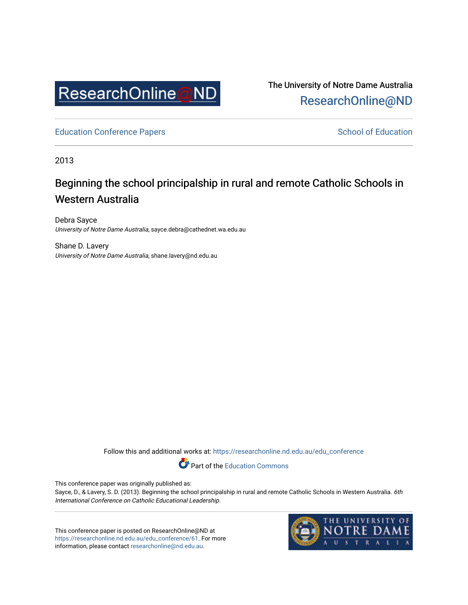

The University of Notre Dame Australia [ResearchOnline@ND](https://researchonline.nd.edu.au/) 

[Education Conference Papers](https://researchonline.nd.edu.au/edu_conference) **School of Education** School of Education

2013

# Beginning the school principalship in rural and remote Catholic Schools in Western Australia

Debra Sayce University of Notre Dame Australia, sayce.debra@cathednet.wa.edu.au

Shane D. Lavery University of Notre Dame Australia, shane.lavery@nd.edu.au

Follow this and additional works at: [https://researchonline.nd.edu.au/edu\\_conference](https://researchonline.nd.edu.au/edu_conference?utm_source=researchonline.nd.edu.au%2Fedu_conference%2F61&utm_medium=PDF&utm_campaign=PDFCoverPages)

Part of the [Education Commons](http://network.bepress.com/hgg/discipline/784?utm_source=researchonline.nd.edu.au%2Fedu_conference%2F61&utm_medium=PDF&utm_campaign=PDFCoverPages) 

This conference paper was originally published as:

Sayce, D., & Lavery, S. D. (2013). Beginning the school principalship in rural and remote Catholic Schools in Western Australia. 6th International Conference on Catholic Educational Leadership.

This conference paper is posted on ResearchOnline@ND at [https://researchonline.nd.edu.au/edu\\_conference/61.](https://researchonline.nd.edu.au/edu_conference/61) For more information, please contact [researchonline@nd.edu.au.](mailto:researchonline@nd.edu.au)

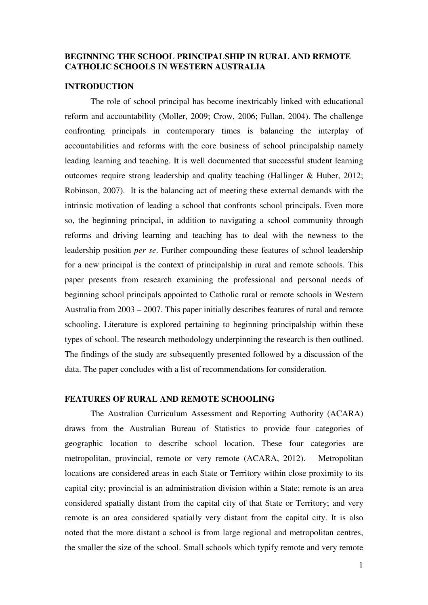### **BEGINNING THE SCHOOL PRINCIPALSHIP IN RURAL AND REMOTE CATHOLIC SCHOOLS IN WESTERN AUSTRALIA**

# **INTRODUCTION**

The role of school principal has become inextricably linked with educational reform and accountability (Moller, 2009; Crow, 2006; Fullan, 2004). The challenge confronting principals in contemporary times is balancing the interplay of accountabilities and reforms with the core business of school principalship namely leading learning and teaching. It is well documented that successful student learning outcomes require strong leadership and quality teaching (Hallinger & Huber, 2012; Robinson, 2007). It is the balancing act of meeting these external demands with the intrinsic motivation of leading a school that confronts school principals. Even more so, the beginning principal, in addition to navigating a school community through reforms and driving learning and teaching has to deal with the newness to the leadership position *per se*. Further compounding these features of school leadership for a new principal is the context of principalship in rural and remote schools. This paper presents from research examining the professional and personal needs of beginning school principals appointed to Catholic rural or remote schools in Western Australia from 2003 – 2007. This paper initially describes features of rural and remote schooling. Literature is explored pertaining to beginning principalship within these types of school. The research methodology underpinning the research is then outlined. The findings of the study are subsequently presented followed by a discussion of the data. The paper concludes with a list of recommendations for consideration.

### **FEATURES OF RURAL AND REMOTE SCHOOLING**

The Australian Curriculum Assessment and Reporting Authority (ACARA) draws from the Australian Bureau of Statistics to provide four categories of geographic location to describe school location. These four categories are metropolitan, provincial, remote or very remote (ACARA, 2012). Metropolitan locations are considered areas in each State or Territory within close proximity to its capital city; provincial is an administration division within a State; remote is an area considered spatially distant from the capital city of that State or Territory; and very remote is an area considered spatially very distant from the capital city. It is also noted that the more distant a school is from large regional and metropolitan centres, the smaller the size of the school. Small schools which typify remote and very remote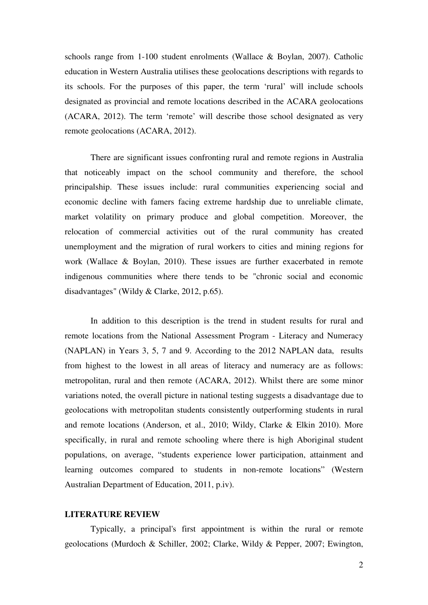schools range from 1-100 student enrolments (Wallace & Boylan, 2007). Catholic education in Western Australia utilises these geolocations descriptions with regards to its schools. For the purposes of this paper, the term 'rural' will include schools designated as provincial and remote locations described in the ACARA geolocations (ACARA, 2012). The term 'remote' will describe those school designated as very remote geolocations (ACARA, 2012).

 There are significant issues confronting rural and remote regions in Australia that noticeably impact on the school community and therefore, the school principalship. These issues include: rural communities experiencing social and economic decline with famers facing extreme hardship due to unreliable climate, market volatility on primary produce and global competition. Moreover, the relocation of commercial activities out of the rural community has created unemployment and the migration of rural workers to cities and mining regions for work (Wallace & Boylan, 2010). These issues are further exacerbated in remote indigenous communities where there tends to be "chronic social and economic disadvantages" (Wildy & Clarke, 2012, p.65).

In addition to this description is the trend in student results for rural and remote locations from the National Assessment Program - Literacy and Numeracy (NAPLAN) in Years 3, 5, 7 and 9. According to the 2012 NAPLAN data, results from highest to the lowest in all areas of literacy and numeracy are as follows: metropolitan, rural and then remote (ACARA, 2012). Whilst there are some minor variations noted, the overall picture in national testing suggests a disadvantage due to geolocations with metropolitan students consistently outperforming students in rural and remote locations (Anderson, et al., 2010; Wildy, Clarke & Elkin 2010). More specifically, in rural and remote schooling where there is high Aboriginal student populations, on average, "students experience lower participation, attainment and learning outcomes compared to students in non-remote locations" (Western Australian Department of Education, 2011, p.iv).

### **LITERATURE REVIEW**

Typically, a principal's first appointment is within the rural or remote geolocations (Murdoch & Schiller, 2002; Clarke, Wildy & Pepper, 2007; Ewington,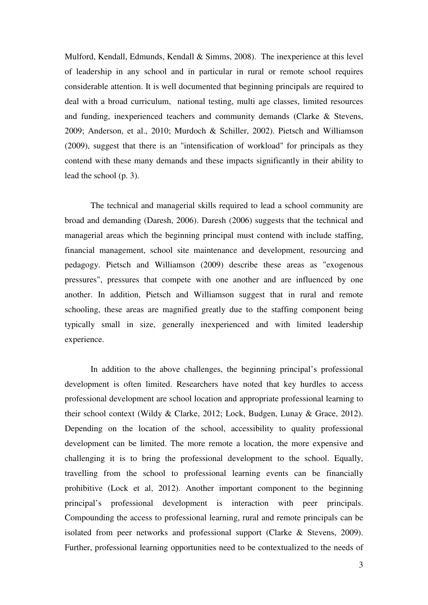Mulford, Kendall, Edmunds, Kendall & Simms, 2008). The inexperience at this level of leadership in any school and in particular in rural or remote school requires considerable attention. It is well documented that beginning principals are required to deal with a broad curriculum, national testing, multi age classes, limited resources and funding, inexperienced teachers and community demands (Clarke & Stevens, 2009; Anderson, et al., 2010; Murdoch & Schiller, 2002). Pietsch and Williamson (2009), suggest that there is an "intensification of workload" for principals as they contend with these many demands and these impacts significantly in their ability to lead the school (p. 3).

The technical and managerial skills required to lead a school community are broad and demanding (Daresh, 2006). Daresh (2006) suggests that the technical and managerial areas which the beginning principal must contend with include staffing, financial management, school site maintenance and development, resourcing and pedagogy. Pietsch and Williamson (2009) describe these areas as "exogenous pressures", pressures that compete with one another and are influenced by one another. In addition, Pietsch and Williamson suggest that in rural and remote schooling, these areas are magnified greatly due to the staffing component being typically small in size, generally inexperienced and with limited leadership experience.

 In addition to the above challenges, the beginning principal's professional development is often limited. Researchers have noted that key hurdles to access professional development are school location and appropriate professional learning to their school context (Wildy & Clarke, 2012; Lock, Budgen, Lunay & Grace, 2012). Depending on the location of the school, accessibility to quality professional development can be limited. The more remote a location, the more expensive and challenging it is to bring the professional development to the school. Equally, travelling from the school to professional learning events can be financially prohibitive (Lock et al, 2012). Another important component to the beginning principal's professional development is interaction with peer principals. Compounding the access to professional learning, rural and remote principals can be isolated from peer networks and professional support (Clarke & Stevens, 2009). Further, professional learning opportunities need to be contextualized to the needs of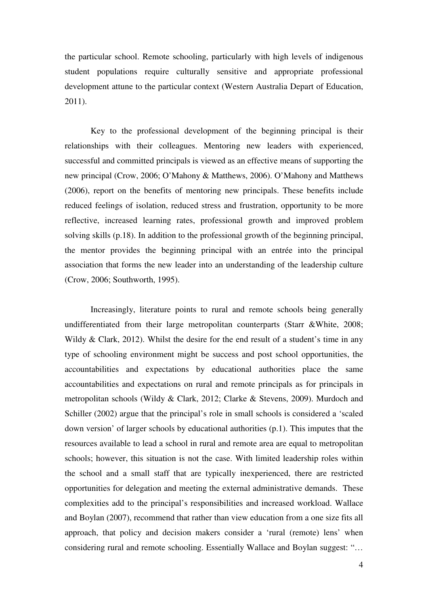the particular school. Remote schooling, particularly with high levels of indigenous student populations require culturally sensitive and appropriate professional development attune to the particular context (Western Australia Depart of Education, 2011).

 Key to the professional development of the beginning principal is their relationships with their colleagues. Mentoring new leaders with experienced, successful and committed principals is viewed as an effective means of supporting the new principal (Crow, 2006; O'Mahony & Matthews, 2006). O'Mahony and Matthews (2006), report on the benefits of mentoring new principals. These benefits include reduced feelings of isolation, reduced stress and frustration, opportunity to be more reflective, increased learning rates, professional growth and improved problem solving skills (p.18). In addition to the professional growth of the beginning principal, the mentor provides the beginning principal with an entrée into the principal association that forms the new leader into an understanding of the leadership culture (Crow, 2006; Southworth, 1995).

 Increasingly, literature points to rural and remote schools being generally undifferentiated from their large metropolitan counterparts (Starr &White, 2008; Wildy & Clark, 2012). Whilst the desire for the end result of a student's time in any type of schooling environment might be success and post school opportunities, the accountabilities and expectations by educational authorities place the same accountabilities and expectations on rural and remote principals as for principals in metropolitan schools (Wildy & Clark, 2012; Clarke & Stevens, 2009). Murdoch and Schiller (2002) argue that the principal's role in small schools is considered a 'scaled down version' of larger schools by educational authorities (p.1). This imputes that the resources available to lead a school in rural and remote area are equal to metropolitan schools; however, this situation is not the case. With limited leadership roles within the school and a small staff that are typically inexperienced, there are restricted opportunities for delegation and meeting the external administrative demands. These complexities add to the principal's responsibilities and increased workload. Wallace and Boylan (2007), recommend that rather than view education from a one size fits all approach, that policy and decision makers consider a 'rural (remote) lens' when considering rural and remote schooling. Essentially Wallace and Boylan suggest: "…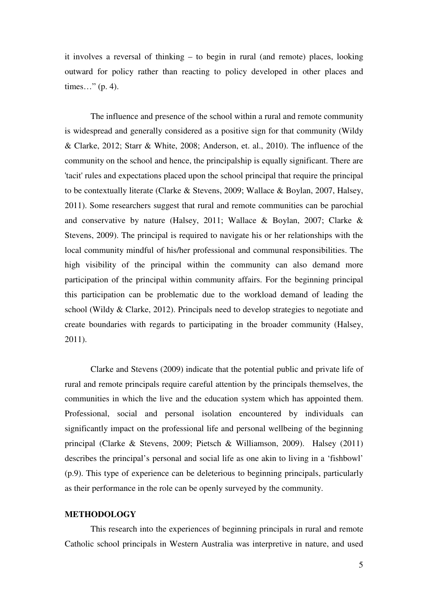it involves a reversal of thinking – to begin in rural (and remote) places, looking outward for policy rather than reacting to policy developed in other places and times…" (p. 4).

The influence and presence of the school within a rural and remote community is widespread and generally considered as a positive sign for that community (Wildy & Clarke, 2012; Starr & White, 2008; Anderson, et. al., 2010). The influence of the community on the school and hence, the principalship is equally significant. There are 'tacit' rules and expectations placed upon the school principal that require the principal to be contextually literate (Clarke & Stevens, 2009; Wallace & Boylan, 2007, Halsey, 2011). Some researchers suggest that rural and remote communities can be parochial and conservative by nature (Halsey, 2011; Wallace & Boylan, 2007; Clarke & Stevens, 2009). The principal is required to navigate his or her relationships with the local community mindful of his/her professional and communal responsibilities. The high visibility of the principal within the community can also demand more participation of the principal within community affairs. For the beginning principal this participation can be problematic due to the workload demand of leading the school (Wildy & Clarke, 2012). Principals need to develop strategies to negotiate and create boundaries with regards to participating in the broader community (Halsey, 2011).

 Clarke and Stevens (2009) indicate that the potential public and private life of rural and remote principals require careful attention by the principals themselves, the communities in which the live and the education system which has appointed them. Professional, social and personal isolation encountered by individuals can significantly impact on the professional life and personal wellbeing of the beginning principal (Clarke & Stevens, 2009; Pietsch & Williamson, 2009). Halsey (2011) describes the principal's personal and social life as one akin to living in a 'fishbowl' (p.9). This type of experience can be deleterious to beginning principals, particularly as their performance in the role can be openly surveyed by the community.

### **METHODOLOGY**

This research into the experiences of beginning principals in rural and remote Catholic school principals in Western Australia was interpretive in nature, and used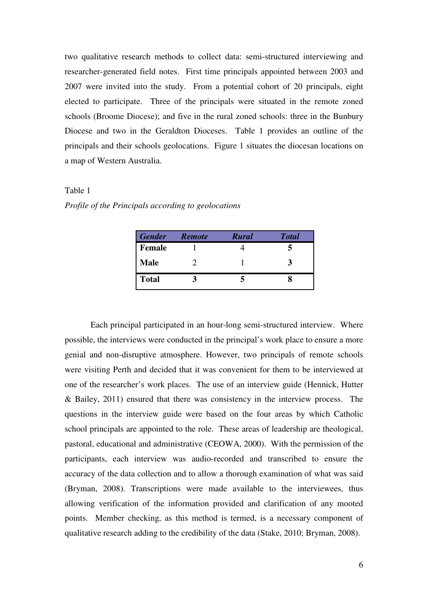two qualitative research methods to collect data: semi-structured interviewing and researcher-generated field notes. First time principals appointed between 2003 and 2007 were invited into the study. From a potential cohort of 20 principals, eight elected to participate. Three of the principals were situated in the remote zoned schools (Broome Diocese); and five in the rural zoned schools: three in the Bunbury Diocese and two in the Geraldton Dioceses. Table 1 provides an outline of the principals and their schools geolocations. Figure 1 situates the diocesan locations on a map of Western Australia.

### Table 1

|  |  | Profile of the Principals according to geolocations |
|--|--|-----------------------------------------------------|
|  |  |                                                     |

| <b>Gender</b> | <b>Remote</b> | <b>Rural</b> | <b>Total</b> |
|---------------|---------------|--------------|--------------|
| <b>Female</b> |               |              |              |
| <b>Male</b>   |               |              |              |
| <b>Total</b>  |               |              |              |

 Each principal participated in an hour-long semi-structured interview. Where possible, the interviews were conducted in the principal's work place to ensure a more genial and non-disruptive atmosphere. However, two principals of remote schools were visiting Perth and decided that it was convenient for them to be interviewed at one of the researcher's work places. The use of an interview guide (Hennick, Hutter & Bailey, 2011) ensured that there was consistency in the interview process. The questions in the interview guide were based on the four areas by which Catholic school principals are appointed to the role. These areas of leadership are theological, pastoral, educational and administrative (CEOWA, 2000). With the permission of the participants, each interview was audio-recorded and transcribed to ensure the accuracy of the data collection and to allow a thorough examination of what was said (Bryman, 2008). Transcriptions were made available to the interviewees, thus allowing verification of the information provided and clarification of any mooted points. Member checking, as this method is termed, is a necessary component of qualitative research adding to the credibility of the data (Stake, 2010; Bryman, 2008).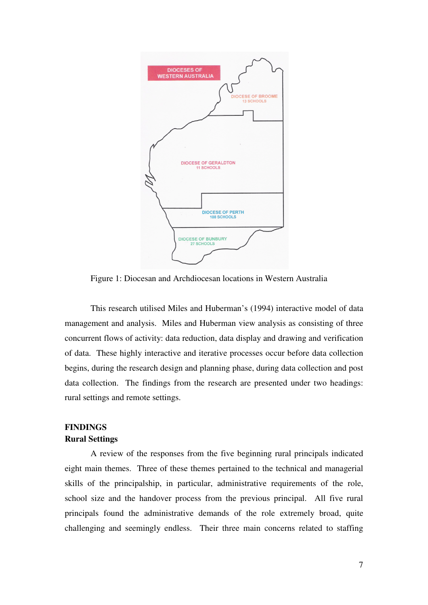

Figure 1: Diocesan and Archdiocesan locations in Western Australia

This research utilised Miles and Huberman's (1994) interactive model of data management and analysis. Miles and Huberman view analysis as consisting of three concurrent flows of activity: data reduction, data display and drawing and verification of data. These highly interactive and iterative processes occur before data collection begins, during the research design and planning phase, during data collection and post data collection. The findings from the research are presented under two headings: rural settings and remote settings.

# **FINDINGS Rural Settings**

A review of the responses from the five beginning rural principals indicated eight main themes. Three of these themes pertained to the technical and managerial skills of the principalship, in particular, administrative requirements of the role, school size and the handover process from the previous principal. All five rural principals found the administrative demands of the role extremely broad, quite challenging and seemingly endless. Their three main concerns related to staffing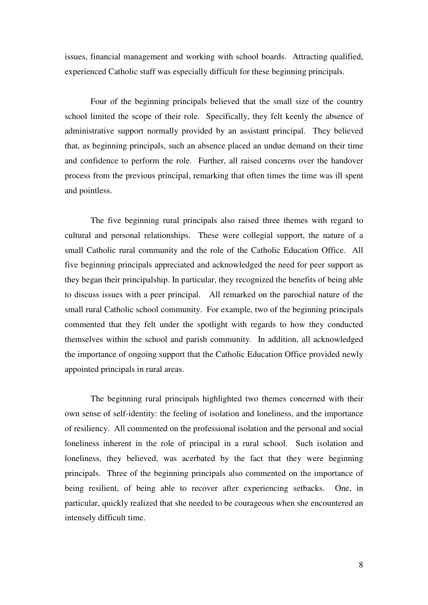issues, financial management and working with school boards. Attracting qualified, experienced Catholic staff was especially difficult for these beginning principals.

 Four of the beginning principals believed that the small size of the country school limited the scope of their role. Specifically, they felt keenly the absence of administrative support normally provided by an assistant principal. They believed that, as beginning principals, such an absence placed an undue demand on their time and confidence to perform the role. Further, all raised concerns over the handover process from the previous principal, remarking that often times the time was ill spent and pointless.

The five beginning rural principals also raised three themes with regard to cultural and personal relationships. These were collegial support, the nature of a small Catholic rural community and the role of the Catholic Education Office. All five beginning principals appreciated and acknowledged the need for peer support as they began their principalship. In particular, they recognized the benefits of being able to discuss issues with a peer principal. All remarked on the parochial nature of the small rural Catholic school community. For example, two of the beginning principals commented that they felt under the spotlight with regards to how they conducted themselves within the school and parish community. In addition, all acknowledged the importance of ongoing support that the Catholic Education Office provided newly appointed principals in rural areas.

The beginning rural principals highlighted two themes concerned with their own sense of self-identity: the feeling of isolation and loneliness, and the importance of resiliency. All commented on the professional isolation and the personal and social loneliness inherent in the role of principal in a rural school. Such isolation and loneliness, they believed, was acerbated by the fact that they were beginning principals. Three of the beginning principals also commented on the importance of being resilient, of being able to recover after experiencing setbacks. One, in particular, quickly realized that she needed to be courageous when she encountered an intensely difficult time.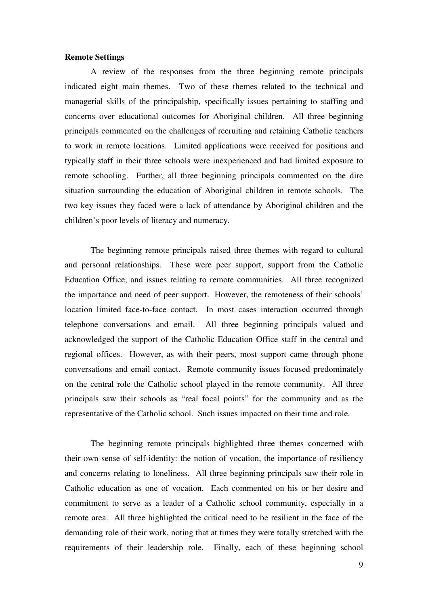### **Remote Settings**

A review of the responses from the three beginning remote principals indicated eight main themes. Two of these themes related to the technical and managerial skills of the principalship, specifically issues pertaining to staffing and concerns over educational outcomes for Aboriginal children. All three beginning principals commented on the challenges of recruiting and retaining Catholic teachers to work in remote locations. Limited applications were received for positions and typically staff in their three schools were inexperienced and had limited exposure to remote schooling. Further, all three beginning principals commented on the dire situation surrounding the education of Aboriginal children in remote schools. The two key issues they faced were a lack of attendance by Aboriginal children and the children's poor levels of literacy and numeracy.

The beginning remote principals raised three themes with regard to cultural and personal relationships. These were peer support, support from the Catholic Education Office, and issues relating to remote communities. All three recognized the importance and need of peer support. However, the remoteness of their schools' location limited face-to-face contact. In most cases interaction occurred through telephone conversations and email. All three beginning principals valued and acknowledged the support of the Catholic Education Office staff in the central and regional offices. However, as with their peers, most support came through phone conversations and email contact. Remote community issues focused predominately on the central role the Catholic school played in the remote community. All three principals saw their schools as "real focal points" for the community and as the representative of the Catholic school. Such issues impacted on their time and role.

The beginning remote principals highlighted three themes concerned with their own sense of self-identity: the notion of vocation, the importance of resiliency and concerns relating to loneliness. All three beginning principals saw their role in Catholic education as one of vocation. Each commented on his or her desire and commitment to serve as a leader of a Catholic school community, especially in a remote area. All three highlighted the critical need to be resilient in the face of the demanding role of their work, noting that at times they were totally stretched with the requirements of their leadership role. Finally, each of these beginning school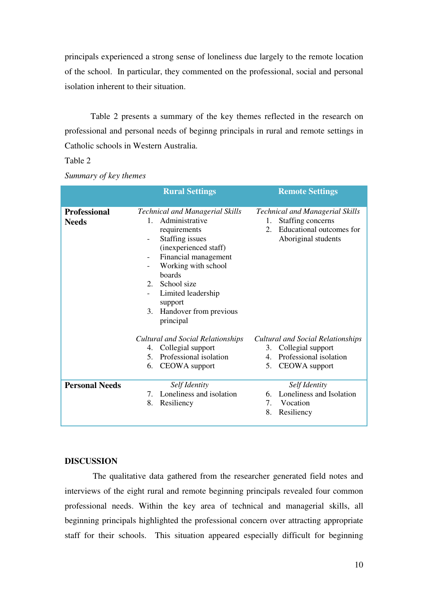principals experienced a strong sense of loneliness due largely to the remote location of the school. In particular, they commented on the professional, social and personal isolation inherent to their situation.

Table 2 presents a summary of the key themes reflected in the research on professional and personal needs of beginng principals in rural and remote settings in Catholic schools in Western Australia.

## Table 2

|                                     | <b>Rural Settings</b>                                                                                                                                                                                                                                                                                                                   | <b>Remote Settings</b>                                                                                                     |
|-------------------------------------|-----------------------------------------------------------------------------------------------------------------------------------------------------------------------------------------------------------------------------------------------------------------------------------------------------------------------------------------|----------------------------------------------------------------------------------------------------------------------------|
| <b>Professional</b><br><b>Needs</b> | <b>Technical and Managerial Skills</b><br>Administrative<br>$\mathbf{1}$ .<br>requirements<br>Staffing issues<br>$\overline{\phantom{a}}$<br>(inexperienced staff)<br>Financial management<br>Working with school<br>boards<br>School size<br>$2^{\circ}$<br>Limited leadership<br>support<br>Handover from previous<br>3.<br>principal | <b>Technical and Managerial Skills</b><br>Staffing concerns<br>1.<br>Educational outcomes for<br>2.<br>Aboriginal students |
|                                     | <b>Cultural and Social Relationships</b><br>4. Collegial support<br>5. Professional isolation<br>CEOWA support<br>6.                                                                                                                                                                                                                    | <b>Cultural and Social Relationships</b><br>3. Collegial support<br>Professional isolation<br>4.<br>5. CEOWA support       |
| <b>Personal Needs</b>               | Self Identity<br>Loneliness and isolation<br>7.<br>8.<br>Resiliency                                                                                                                                                                                                                                                                     | Self Identity<br>Loneliness and Isolation<br>6.<br>7.<br>Vocation<br>8.<br>Resiliency                                      |

*Summary of key themes*

## **DISCUSSION**

 The qualitative data gathered from the researcher generated field notes and interviews of the eight rural and remote beginning principals revealed four common professional needs. Within the key area of technical and managerial skills, all beginning principals highlighted the professional concern over attracting appropriate staff for their schools. This situation appeared especially difficult for beginning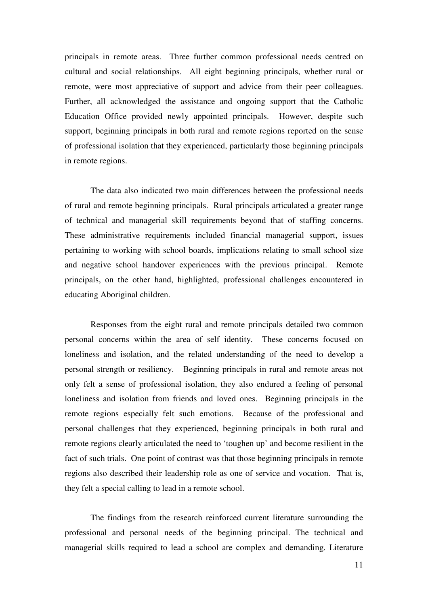principals in remote areas. Three further common professional needs centred on cultural and social relationships. All eight beginning principals, whether rural or remote, were most appreciative of support and advice from their peer colleagues. Further, all acknowledged the assistance and ongoing support that the Catholic Education Office provided newly appointed principals. However, despite such support, beginning principals in both rural and remote regions reported on the sense of professional isolation that they experienced, particularly those beginning principals in remote regions.

The data also indicated two main differences between the professional needs of rural and remote beginning principals. Rural principals articulated a greater range of technical and managerial skill requirements beyond that of staffing concerns. These administrative requirements included financial managerial support, issues pertaining to working with school boards, implications relating to small school size and negative school handover experiences with the previous principal. Remote principals, on the other hand, highlighted, professional challenges encountered in educating Aboriginal children.

Responses from the eight rural and remote principals detailed two common personal concerns within the area of self identity. These concerns focused on loneliness and isolation, and the related understanding of the need to develop a personal strength or resiliency. Beginning principals in rural and remote areas not only felt a sense of professional isolation, they also endured a feeling of personal loneliness and isolation from friends and loved ones. Beginning principals in the remote regions especially felt such emotions. Because of the professional and personal challenges that they experienced, beginning principals in both rural and remote regions clearly articulated the need to 'toughen up' and become resilient in the fact of such trials. One point of contrast was that those beginning principals in remote regions also described their leadership role as one of service and vocation. That is, they felt a special calling to lead in a remote school.

 The findings from the research reinforced current literature surrounding the professional and personal needs of the beginning principal. The technical and managerial skills required to lead a school are complex and demanding. Literature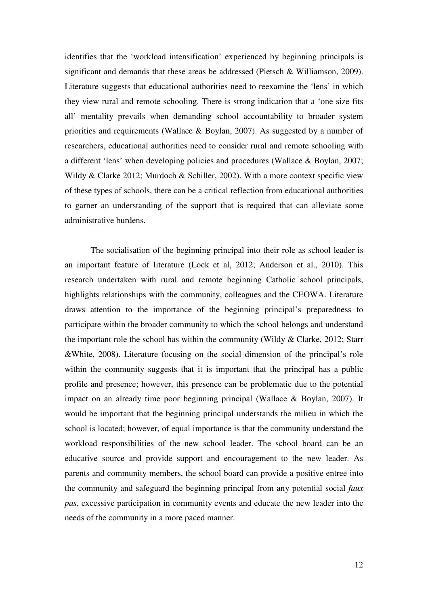identifies that the 'workload intensification' experienced by beginning principals is significant and demands that these areas be addressed (Pietsch & Williamson, 2009). Literature suggests that educational authorities need to reexamine the 'lens' in which they view rural and remote schooling. There is strong indication that a 'one size fits all' mentality prevails when demanding school accountability to broader system priorities and requirements (Wallace & Boylan, 2007). As suggested by a number of researchers, educational authorities need to consider rural and remote schooling with a different 'lens' when developing policies and procedures (Wallace & Boylan, 2007; Wildy & Clarke 2012; Murdoch & Schiller, 2002). With a more context specific view of these types of schools, there can be a critical reflection from educational authorities to garner an understanding of the support that is required that can alleviate some administrative burdens.

 The socialisation of the beginning principal into their role as school leader is an important feature of literature (Lock et al, 2012; Anderson et al., 2010). This research undertaken with rural and remote beginning Catholic school principals, highlights relationships with the community, colleagues and the CEOWA. Literature draws attention to the importance of the beginning principal's preparedness to participate within the broader community to which the school belongs and understand the important role the school has within the community (Wildy & Clarke, 2012; Starr &White, 2008). Literature focusing on the social dimension of the principal's role within the community suggests that it is important that the principal has a public profile and presence; however, this presence can be problematic due to the potential impact on an already time poor beginning principal (Wallace & Boylan, 2007). It would be important that the beginning principal understands the milieu in which the school is located; however, of equal importance is that the community understand the workload responsibilities of the new school leader. The school board can be an educative source and provide support and encouragement to the new leader. As parents and community members, the school board can provide a positive entree into the community and safeguard the beginning principal from any potential social *faux pas*, excessive participation in community events and educate the new leader into the needs of the community in a more paced manner.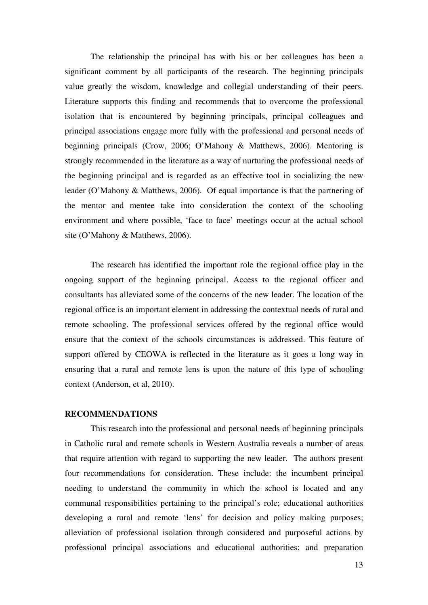The relationship the principal has with his or her colleagues has been a significant comment by all participants of the research. The beginning principals value greatly the wisdom, knowledge and collegial understanding of their peers. Literature supports this finding and recommends that to overcome the professional isolation that is encountered by beginning principals, principal colleagues and principal associations engage more fully with the professional and personal needs of beginning principals (Crow, 2006; O'Mahony & Matthews, 2006). Mentoring is strongly recommended in the literature as a way of nurturing the professional needs of the beginning principal and is regarded as an effective tool in socializing the new leader (O'Mahony & Matthews, 2006). Of equal importance is that the partnering of the mentor and mentee take into consideration the context of the schooling environment and where possible, 'face to face' meetings occur at the actual school site (O'Mahony & Matthews, 2006).

 The research has identified the important role the regional office play in the ongoing support of the beginning principal. Access to the regional officer and consultants has alleviated some of the concerns of the new leader. The location of the regional office is an important element in addressing the contextual needs of rural and remote schooling. The professional services offered by the regional office would ensure that the context of the schools circumstances is addressed. This feature of support offered by CEOWA is reflected in the literature as it goes a long way in ensuring that a rural and remote lens is upon the nature of this type of schooling context (Anderson, et al, 2010).

# **RECOMMENDATIONS**

 This research into the professional and personal needs of beginning principals in Catholic rural and remote schools in Western Australia reveals a number of areas that require attention with regard to supporting the new leader. The authors present four recommendations for consideration. These include: the incumbent principal needing to understand the community in which the school is located and any communal responsibilities pertaining to the principal's role; educational authorities developing a rural and remote 'lens' for decision and policy making purposes; alleviation of professional isolation through considered and purposeful actions by professional principal associations and educational authorities; and preparation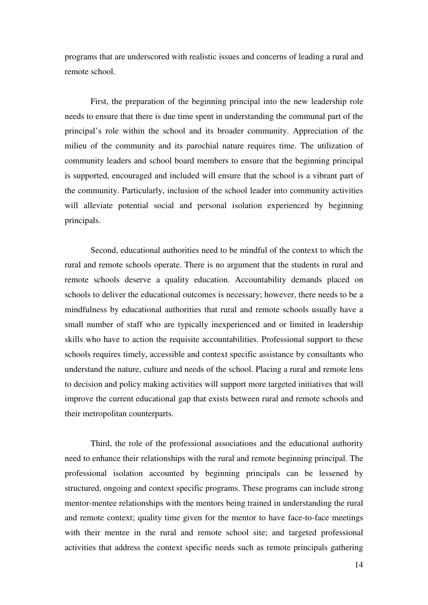programs that are underscored with realistic issues and concerns of leading a rural and remote school.

First, the preparation of the beginning principal into the new leadership role needs to ensure that there is due time spent in understanding the communal part of the principal's role within the school and its broader community. Appreciation of the milieu of the community and its parochial nature requires time. The utilization of community leaders and school board members to ensure that the beginning principal is supported, encouraged and included will ensure that the school is a vibrant part of the community. Particularly, inclusion of the school leader into community activities will alleviate potential social and personal isolation experienced by beginning principals.

 Second, educational authorities need to be mindful of the context to which the rural and remote schools operate. There is no argument that the students in rural and remote schools deserve a quality education. Accountability demands placed on schools to deliver the educational outcomes is necessary; however, there needs to be a mindfulness by educational authorities that rural and remote schools usually have a small number of staff who are typically inexperienced and or limited in leadership skills who have to action the requisite accountabilities. Professional support to these schools requires timely, accessible and context specific assistance by consultants who understand the nature, culture and needs of the school. Placing a rural and remote lens to decision and policy making activities will support more targeted initiatives that will improve the current educational gap that exists between rural and remote schools and their metropolitan counterparts.

 Third, the role of the professional associations and the educational authority need to enhance their relationships with the rural and remote beginning principal. The professional isolation accounted by beginning principals can be lessened by structured, ongoing and context specific programs. These programs can include strong mentor-mentee relationships with the mentors being trained in understanding the rural and remote context; quality time given for the mentor to have face-to-face meetings with their mentee in the rural and remote school site; and targeted professional activities that address the context specific needs such as remote principals gathering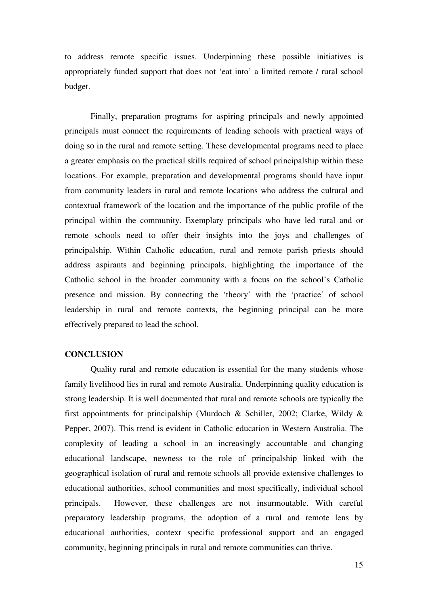to address remote specific issues. Underpinning these possible initiatives is appropriately funded support that does not 'eat into' a limited remote / rural school budget.

 Finally, preparation programs for aspiring principals and newly appointed principals must connect the requirements of leading schools with practical ways of doing so in the rural and remote setting. These developmental programs need to place a greater emphasis on the practical skills required of school principalship within these locations. For example, preparation and developmental programs should have input from community leaders in rural and remote locations who address the cultural and contextual framework of the location and the importance of the public profile of the principal within the community. Exemplary principals who have led rural and or remote schools need to offer their insights into the joys and challenges of principalship. Within Catholic education, rural and remote parish priests should address aspirants and beginning principals, highlighting the importance of the Catholic school in the broader community with a focus on the school's Catholic presence and mission. By connecting the 'theory' with the 'practice' of school leadership in rural and remote contexts, the beginning principal can be more effectively prepared to lead the school.

# **CONCLUSION**

Quality rural and remote education is essential for the many students whose family livelihood lies in rural and remote Australia. Underpinning quality education is strong leadership. It is well documented that rural and remote schools are typically the first appointments for principalship (Murdoch & Schiller, 2002; Clarke, Wildy & Pepper, 2007). This trend is evident in Catholic education in Western Australia. The complexity of leading a school in an increasingly accountable and changing educational landscape, newness to the role of principalship linked with the geographical isolation of rural and remote schools all provide extensive challenges to educational authorities, school communities and most specifically, individual school principals. However, these challenges are not insurmoutable. With careful preparatory leadership programs, the adoption of a rural and remote lens by educational authorities, context specific professional support and an engaged community, beginning principals in rural and remote communities can thrive.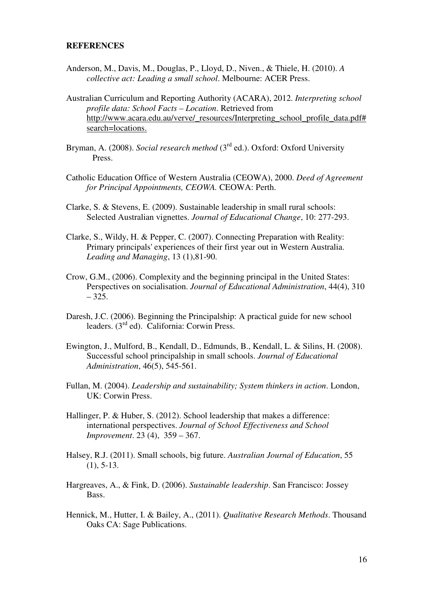#### **REFERENCES**

- Anderson, M., Davis, M., Douglas, P., Lloyd, D., Niven., & Thiele, H. (2010). *A collective act: Leading a small school*. Melbourne: ACER Press.
- Australian Curriculum and Reporting Authority (ACARA), 2012. *Interpreting school profile data: School Facts – Location*. Retrieved from http://www.acara.edu.au/verve/\_resources/Interpreting\_school\_profile\_data.pdf# search=locations.
- Bryman, A. (2008). *Social research method* (3<sup>rd</sup> ed.). Oxford: Oxford University Press.
- Catholic Education Office of Western Australia (CEOWA), 2000. *Deed of Agreement for Principal Appointments, CEOWA.* CEOWA: Perth.
- Clarke, S. & Stevens, E. (2009). Sustainable leadership in small rural schools: Selected Australian vignettes. *Journal of Educational Change*, 10: 277-293.
- Clarke, S., Wildy, H. & Pepper, C. (2007). Connecting Preparation with Reality: Primary principals' experiences of their first year out in Western Australia. *Leading and Managing*, 13 (1),81-90.
- Crow, G.M., (2006). Complexity and the beginning principal in the United States: Perspectives on socialisation. *Journal of Educational Administration*, 44(4), 310 – 325.
- Daresh, J.C. (2006). Beginning the Principalship: A practical guide for new school leaders. (3rd ed). California: Corwin Press.
- Ewington, J., Mulford, B., Kendall, D., Edmunds, B., Kendall, L. & Silins, H. (2008). Successful school principalship in small schools. *Journal of Educational Administration*, 46(5), 545-561.
- Fullan, M. (2004). *Leadership and sustainability; System thinkers in action*. London, UK: Corwin Press.
- Hallinger, P. & Huber, S. (2012). School leadership that makes a difference: international perspectives. *Journal of School Effectiveness and School Improvement*. 23 (4), 359 – 367.
- Halsey, R.J. (2011). Small schools, big future. *Australian Journal of Education*, 55 (1), 5-13.
- Hargreaves, A., & Fink, D. (2006). *Sustainable leadership*. San Francisco: Jossey Bass.
- Hennick, M., Hutter, I. & Bailey, A., (2011). *Qualitative Research Methods*. Thousand Oaks CA: Sage Publications.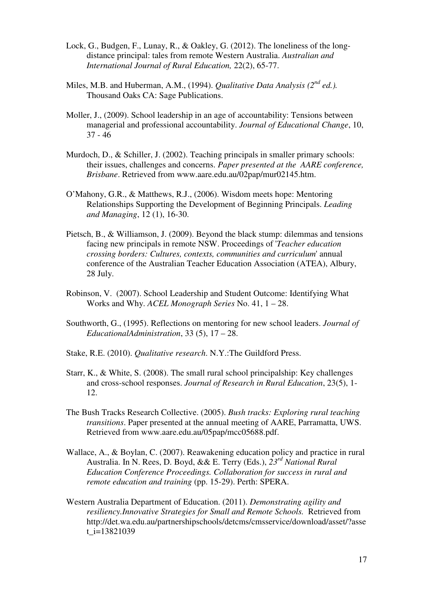- Lock, G., Budgen, F., Lunay, R., & Oakley, G. (2012). The loneliness of the longdistance principal: tales from remote Western Australia. *Australian and International Journal of Rural Education,* 22(2), 65-77.
- Miles, M.B. and Huberman, A.M., (1994). *Qualitative Data Analysis (2nd ed.).* Thousand Oaks CA: Sage Publications.
- Moller, J., (2009). School leadership in an age of accountability: Tensions between managerial and professional accountability. *Journal of Educational Change*, 10, 37 - 46
- Murdoch, D., & Schiller, J. (2002). Teaching principals in smaller primary schools: their issues, challenges and concerns. *Paper presented at the AARE conference, Brisbane*. Retrieved from www.aare.edu.au/02pap/mur02145.htm.
- O'Mahony, G.R., & Matthews, R.J., (2006). Wisdom meets hope: Mentoring Relationships Supporting the Development of Beginning Principals. *Leading and Managing*, 12 (1), 16-30.
- Pietsch, B., & Williamson, J. (2009). Beyond the black stump: dilemmas and tensions facing new principals in remote NSW. Proceedings of '*Teacher education crossing borders: Cultures, contexts, communities and curriculum*' annual conference of the Australian Teacher Education Association (ATEA), Albury, 28 July.
- Robinson, V. (2007). School Leadership and Student Outcome: Identifying What Works and Why. *ACEL Monograph Series* No. 41, 1 – 28.
- Southworth, G., (1995). Reflections on mentoring for new school leaders. *Journal of EducationalAdministration*, 33 (5), 17 – 28.
- Stake, R.E. (2010). *Qualitative research*. N.Y.:The Guildford Press.
- Starr, K., & White, S. (2008). The small rural school principalship: Key challenges and cross-school responses. *Journal of Research in Rural Education*, 23(5), 1- 12.
- The Bush Tracks Research Collective. (2005). *Bush tracks: Exploring rural teaching transitions*. Paper presented at the annual meeting of AARE, Parramatta, UWS. Retrieved from www.aare.edu.au/05pap/mcc05688.pdf.
- Wallace, A., & Boylan, C. (2007). Reawakening education policy and practice in rural Australia. In N. Rees, D. Boyd, && E. Terry (Eds.), *23rd National Rural Education Conference Proceedings. Collaboration for success in rural and remote education and training* (pp. 15-29). Perth: SPERA.
- Western Australia Department of Education. (2011). *Demonstrating agility and resiliency.Innovative Strategies for Small and Remote Schools.* Retrieved from http://det.wa.edu.au/partnershipschools/detcms/cmsservice/download/asset/?asse t  $i=13821039$